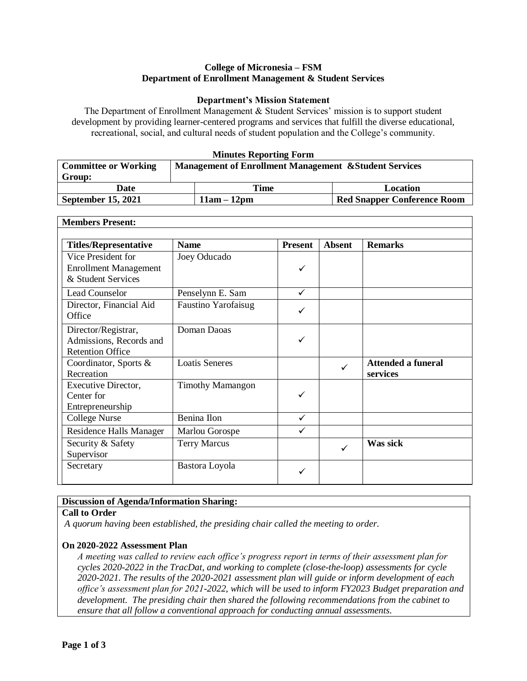## **College of Micronesia – FSM Department of Enrollment Management & Student Services**

### **Department's Mission Statement**

The Department of Enrollment Management & Student Services' mission is to support student development by providing learner-centered programs and services that fulfill the diverse educational, recreational, social, and cultural needs of student population and the College's community.

### **Minutes Reporting Form**

| <b>Committee or Working</b> | <b>Management of Enrollment Management &amp; Student Services</b> |               |                                    |  |
|-----------------------------|-------------------------------------------------------------------|---------------|------------------------------------|--|
| Group:                      |                                                                   |               |                                    |  |
| Date                        |                                                                   | Time          | Location                           |  |
| <b>September 15, 2021</b>   |                                                                   | $11am - 12pm$ | <b>Red Snapper Conference Room</b> |  |

| <b>Members Present:</b>      |                            |                |               |                           |
|------------------------------|----------------------------|----------------|---------------|---------------------------|
|                              |                            |                |               |                           |
| <b>Titles/Representative</b> | <b>Name</b>                | <b>Present</b> | <b>Absent</b> | <b>Remarks</b>            |
| Vice President for           | Joey Oducado               |                |               |                           |
| <b>Enrollment Management</b> |                            | ✓              |               |                           |
| & Student Services           |                            |                |               |                           |
| <b>Lead Counselor</b>        | Penselynn E. Sam           | ✓              |               |                           |
| Director, Financial Aid      | <b>Faustino Yarofaisug</b> |                |               |                           |
| Office                       |                            | ✓              |               |                           |
| Director/Registrar,          | Doman Daoas                |                |               |                           |
| Admissions, Records and      |                            | ✓              |               |                           |
| <b>Retention Office</b>      |                            |                |               |                           |
| Coordinator, Sports &        | <b>Loatis Seneres</b>      |                | ✓             | <b>Attended a funeral</b> |
| Recreation                   |                            |                |               | services                  |
| Executive Director,          | <b>Timothy Mamangon</b>    |                |               |                           |
| Center for                   |                            | ✓              |               |                           |
| Entrepreneurship             |                            |                |               |                           |
| <b>College Nurse</b>         | Benina Ilon                | $\checkmark$   |               |                           |
| Residence Halls Manager      | Marlou Gorospe             | $\checkmark$   |               |                           |
| Security & Safety            | <b>Terry Marcus</b>        |                |               | Was sick                  |
| Supervisor                   |                            |                |               |                           |
| Secretary                    | Bastora Loyola             |                |               |                           |
|                              |                            |                |               |                           |

# **Discussion of Agenda/Information Sharing:**

### **Call to Order**

*A quorum having been established, the presiding chair called the meeting to order.* 

# **On 2020-2022 Assessment Plan**

*A meeting was called to review each office's progress report in terms of their assessment plan for cycles 2020-2022 in the TracDat, and working to complete (close-the-loop) assessments for cycle 2020-2021. The results of the 2020-2021 assessment plan will guide or inform development of each office's assessment plan for 2021-2022, which will be used to inform FY2023 Budget preparation and development. The presiding chair then shared the following recommendations from the cabinet to ensure that all follow a conventional approach for conducting annual assessments.*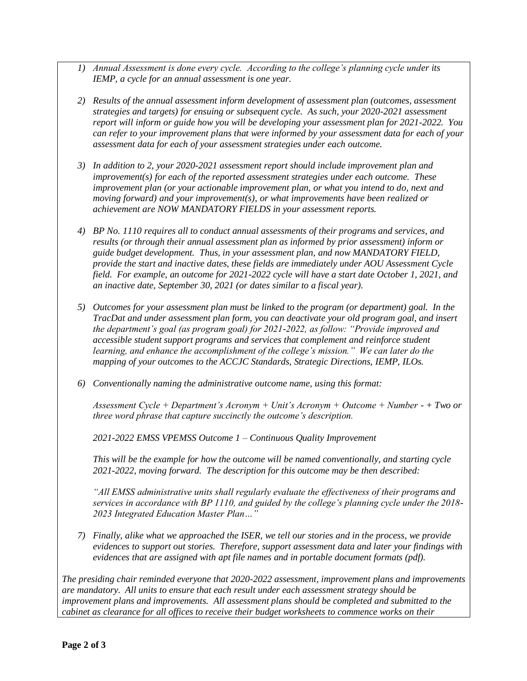- *1) Annual Assessment is done every cycle. According to the college's planning cycle under its IEMP, a cycle for an annual assessment is one year.*
- *2) Results of the annual assessment inform development of assessment plan (outcomes, assessment strategies and targets) for ensuing or subsequent cycle. As such, your 2020-2021 assessment report will inform or guide how you will be developing your assessment plan for 2021-2022. You can refer to your improvement plans that were informed by your assessment data for each of your assessment data for each of your assessment strategies under each outcome.*
- *3) In addition to 2, your 2020-2021 assessment report should include improvement plan and improvement(s) for each of the reported assessment strategies under each outcome. These improvement plan (or your actionable improvement plan, or what you intend to do, next and moving forward) and your improvement(s), or what improvements have been realized or achievement are NOW MANDATORY FIELDS in your assessment reports.*
- *4) BP No. 1110 requires all to conduct annual assessments of their programs and services, and results (or through their annual assessment plan as informed by prior assessment) inform or guide budget development. Thus, in your assessment plan, and now MANDATORY FIELD, provide the start and inactive dates, these fields are immediately under AOU Assessment Cycle field. For example, an outcome for 2021-2022 cycle will have a start date October 1, 2021, and an inactive date, September 30, 2021 (or dates similar to a fiscal year).*
- *5) Outcomes for your assessment plan must be linked to the program (or department) goal. In the TracDat and under assessment plan form, you can deactivate your old program goal, and insert the department's goal (as program goal) for 2021-2022, as follow: "Provide improved and accessible student support programs and services that complement and reinforce student learning, and enhance the accomplishment of the college's mission." We can later do the mapping of your outcomes to the ACCJC Standards, Strategic Directions, IEMP, ILOs.*
- *6) Conventionally naming the administrative outcome name, using this format:*

*Assessment Cycle + Department's Acronym + Unit's Acronym + Outcome + Number - + Two or three word phrase that capture succinctly the outcome's description.*

*2021-2022 EMSS VPEMSS Outcome 1 – Continuous Quality Improvement*

*This will be the example for how the outcome will be named conventionally, and starting cycle 2021-2022, moving forward. The description for this outcome may be then described:*

*"All EMSS administrative units shall regularly evaluate the effectiveness of their programs and services in accordance with BP 1110, and guided by the college's planning cycle under the 2018- 2023 Integrated Education Master Plan…"*

*7) Finally, alike what we approached the ISER, we tell our stories and in the process, we provide evidences to support out stories. Therefore, support assessment data and later your findings with evidences that are assigned with apt file names and in portable document formats (pdf).*

*The presiding chair reminded everyone that 2020-2022 assessment, improvement plans and improvements are mandatory. All units to ensure that each result under each assessment strategy should be improvement plans and improvements. All assessment plans should be completed and submitted to the cabinet as clearance for all offices to receive their budget worksheets to commence works on their*